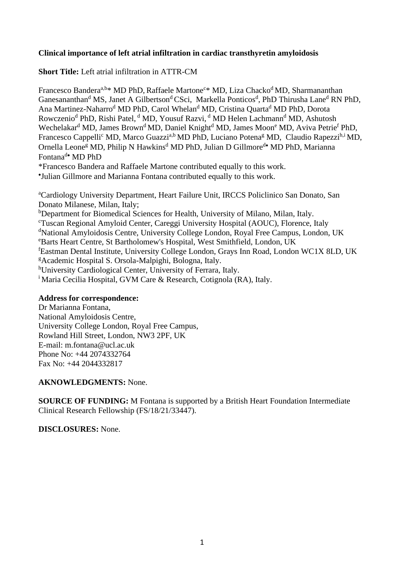## **Clinical importance of left atrial infiltration in cardiac transthyretin amyloidosis**

**Short Title:** Left atrial infiltration in ATTR-CM

Francesco Bandera<sup>a,b</sup>\* MD PhD, Raffaele Martone<sup>c</sup>\* MD, Liza Chacko<sup>d</sup> MD, Sharmananthan Ganesananthan<sup>d</sup> MS, Janet A Gilbertson<sup>d</sup> CSci, Markella Ponticos<sup>d</sup>, PhD Thirusha Lane<sup>d</sup> RN PhD, Ana Martinez-Naharro<sup>d</sup> MD PhD, Carol Whelan<sup>d</sup> MD, Cristina Quarta<sup>d</sup> MD PhD, Dorota Rowczenio<sup>d</sup> PhD, Rishi Patel, <sup>d</sup> MD, Yousuf Razvi, <sup>d</sup> MD Helen Lachmann<sup>d</sup> MD, Ashutosh Wechelakar<sup>d</sup> MD, James Brown<sup>d</sup> MD, Daniel Knight<sup>d</sup> MD, James Moon<sup>e</sup> MD, Aviva Petrie<sup>f</sup> PhD, Francesco Cappelli<sup>c</sup> MD, Marco Guazzi<sup>a,b</sup> MD PhD, Luciano Potena<sup>g</sup> MD, Claudio Rapezzi<sup>h,i</sup> MD, Ornella Leone<sup>g</sup> MD, Philip N Hawkins<sup>d</sup> MD PhD, Julian D Gillmore<sup>d•</sup> MD PhD, Marianna Fontana<sup>d•</sup> MD PhD \*Francesco Bandera and Raffaele Martone contributed equally to this work.

• Julian Gillmore and Marianna Fontana contributed equally to this work.

<sup>a</sup>Cardiology University Department, Heart Failure Unit, IRCCS Policlinico San Donato, San Donato Milanese, Milan, Italy;

<sup>b</sup>Department for Biomedical Sciences for Health, University of Milano, Milan, Italy.

<sup>c</sup>Tuscan Regional Amyloid Center, Careggi University Hospital (AOUC), Florence, Italy

<sup>d</sup>National Amyloidosis Centre, University College London, Royal Free Campus, London, UK

<sup>e</sup>Barts Heart Centre, St Bartholomew's Hospital, West Smithfield, London, UK

<sup>f</sup>Eastman Dental Institute, University College London, Grays Inn Road, London WC1X 8LD, UK <sup>g</sup>Academic Hospital S. Orsola-Malpighi, Bologna, Italy.

<sup>h</sup>University Cardiological Center, University of Ferrara, Italy.

<sup>i</sup> Maria Cecilia Hospital, GVM Care & Research, Cotignola (RA), Italy.

## **Address for correspondence:**

Dr Marianna Fontana, National Amyloidosis Centre, University College London, Royal Free Campus, Rowland Hill Street, London, NW3 2PF, UK E-mail: m.fontana@ucl.ac.uk Phone No: +44 2074332764 Fax No: +44 2044332817

## **AKNOWLEDGMENTS:** None.

**SOURCE OF FUNDING:** M Fontana is supported by a British Heart Foundation Intermediate Clinical Research Fellowship (FS/18/21/33447).

**DISCLOSURES:** None.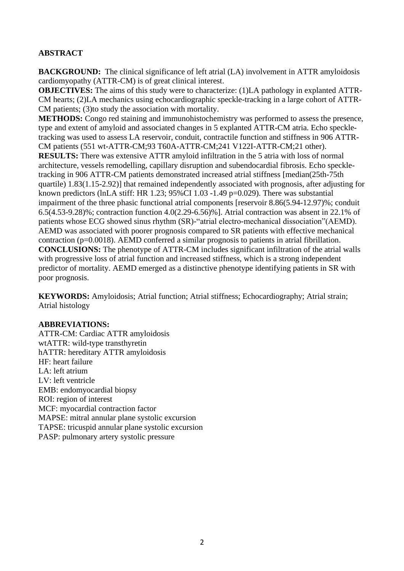## **ABSTRACT**

**BACKGROUND:** The clinical significance of left atrial (LA) involvement in ATTR amyloidosis cardiomyopathy (ATTR-CM) is of great clinical interest.

**OBJECTIVES:** The aims of this study were to characterize: (1)LA pathology in explanted ATTR-CM hearts; (2)LA mechanics using echocardiographic speckle-tracking in a large cohort of ATTR-CM patients; (3)to study the association with mortality.

**METHODS:** Congo red staining and immunohistochemistry was performed to assess the presence, type and extent of amyloid and associated changes in 5 explanted ATTR-CM atria. Echo speckletracking was used to assess LA reservoir, conduit, contractile function and stiffness in 906 ATTR-CM patients (551 wt-ATTR-CM;93 T60A-ATTR-CM;241 V122I-ATTR-CM;21 other). **RESULTS:** There was extensive ATTR amyloid infiltration in the 5 atria with loss of normal architecture, vessels remodelling, capillary disruption and subendocardial fibrosis. Echo speckletracking in 906 ATTR-CM patients demonstrated increased atrial stiffness [median(25th-75th quartile) 1.83(1.15-2.92)] that remained independently associated with prognosis, after adjusting for known predictors (lnLA stiff: HR 1.23; 95%CI 1.03 -1.49 p=0.029). There was substantial impairment of the three phasic functional atrial components [reservoir 8.86(5.94-12.97)%; conduit 6.5(4.53-9.28)%; contraction function 4.0(2.29-6.56)%]. Atrial contraction was absent in 22.1% of patients whose ECG showed sinus rhythm (SR)-"atrial electro-mechanical dissociation"(AEMD). AEMD was associated with poorer prognosis compared to SR patients with effective mechanical contraction (p=0.0018). AEMD conferred a similar prognosis to patients in atrial fibrillation. **CONCLUSIONS:** The phenotype of ATTR-CM includes significant infiltration of the atrial walls with progressive loss of atrial function and increased stiffness, which is a strong independent predictor of mortality. AEMD emerged as a distinctive phenotype identifying patients in SR with poor prognosis.

**KEYWORDS:** Amyloidosis; Atrial function; Atrial stiffness; Echocardiography; Atrial strain; Atrial histology

## **ABBREVIATIONS:**

ATTR-CM: Cardiac ATTR amyloidosis wtATTR: wild-type transthyretin hATTR: hereditary ATTR amyloidosis HF: heart failure LA: left atrium LV: left ventricle EMB: endomyocardial biopsy ROI: region of interest MCF: myocardial contraction factor MAPSE: mitral annular plane systolic excursion TAPSE: tricuspid annular plane systolic excursion PASP: pulmonary artery systolic pressure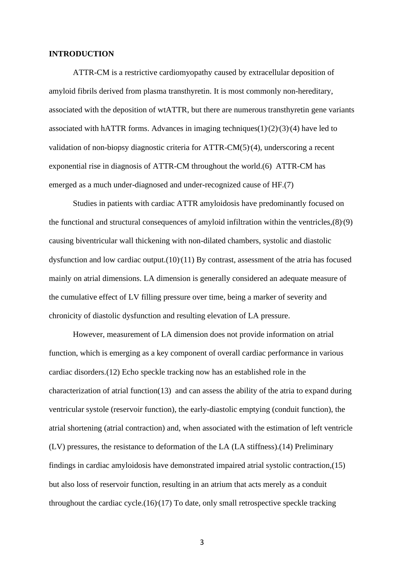#### **INTRODUCTION**

ATTR-CM is a restrictive cardiomyopathy caused by extracellular deposition of amyloid fibrils derived from plasma transthyretin. It is most commonly non-hereditary, associated with the deposition of wtATTR, but there are numerous transthyretin gene variants associated with hATTR forms. Advances in imaging techniques $(1)(2)(3)(4)$  have led to validation of non-biopsy diagnostic criteria for ATTR-CM(5) (4), underscoring a recent exponential rise in diagnosis of ATTR-CM throughout the world.(6) ATTR-CM has emerged as a much under-diagnosed and under-recognized cause of HF.(7)

Studies in patients with cardiac ATTR amyloidosis have predominantly focused on the functional and structural consequences of amyloid infiltration within the ventricles, (8)(9) causing biventricular wall thickening with non-dilated chambers, systolic and diastolic dysfunction and low cardiac output.(10) (11) By contrast, assessment of the atria has focused mainly on atrial dimensions. LA dimension is generally considered an adequate measure of the cumulative effect of LV filling pressure over time, being a marker of severity and chronicity of diastolic dysfunction and resulting elevation of LA pressure.

However, measurement of LA dimension does not provide information on atrial function, which is emerging as a key component of overall cardiac performance in various cardiac disorders.(12) Echo speckle tracking now has an established role in the characterization of atrial function(13) and can assess the ability of the atria to expand during ventricular systole (reservoir function), the early-diastolic emptying (conduit function), the atrial shortening (atrial contraction) and, when associated with the estimation of left ventricle (LV) pressures, the resistance to deformation of the LA (LA stiffness).(14) Preliminary findings in cardiac amyloidosis have demonstrated impaired atrial systolic contraction,(15) but also loss of reservoir function, resulting in an atrium that acts merely as a conduit throughout the cardiac cycle. $(16)(17)$  To date, only small retrospective speckle tracking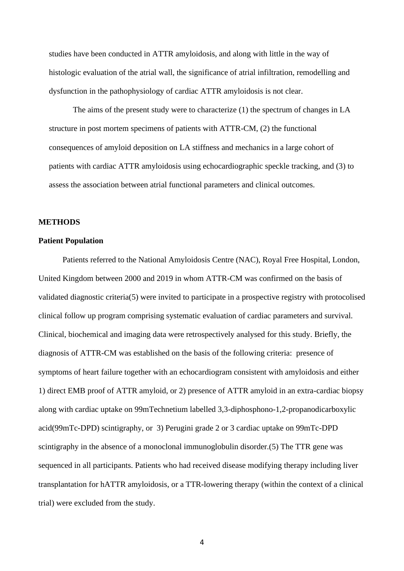studies have been conducted in ATTR amyloidosis, and along with little in the way of histologic evaluation of the atrial wall, the significance of atrial infiltration, remodelling and dysfunction in the pathophysiology of cardiac ATTR amyloidosis is not clear.

The aims of the present study were to characterize (1) the spectrum of changes in LA structure in post mortem specimens of patients with ATTR-CM, (2) the functional consequences of amyloid deposition on LA stiffness and mechanics in a large cohort of patients with cardiac ATTR amyloidosis using echocardiographic speckle tracking, and (3) to assess the association between atrial functional parameters and clinical outcomes.

#### **METHODS**

#### **Patient Population**

Patients referred to the National Amyloidosis Centre (NAC), Royal Free Hospital, London, United Kingdom between 2000 and 2019 in whom ATTR-CM was confirmed on the basis of validated diagnostic criteria(5) were invited to participate in a prospective registry with protocolised clinical follow up program comprising systematic evaluation of cardiac parameters and survival. Clinical, biochemical and imaging data were retrospectively analysed for this study. Briefly, the diagnosis of ATTR-CM was established on the basis of the following criteria: presence of symptoms of heart failure together with an echocardiogram consistent with amyloidosis and either 1) direct EMB proof of ATTR amyloid, or 2) presence of ATTR amyloid in an extra-cardiac biopsy along with cardiac uptake on 99mTechnetium labelled 3,3-diphosphono-1,2-propanodicarboxylic acid(99mTc-DPD) scintigraphy, or 3) Perugini grade 2 or 3 cardiac uptake on 99mTc-DPD scintigraphy in the absence of a monoclonal immunoglobulin disorder.(5) The TTR gene was sequenced in all participants. Patients who had received disease modifying therapy including liver transplantation for hATTR amyloidosis, or a TTR-lowering therapy (within the context of a clinical trial) were excluded from the study.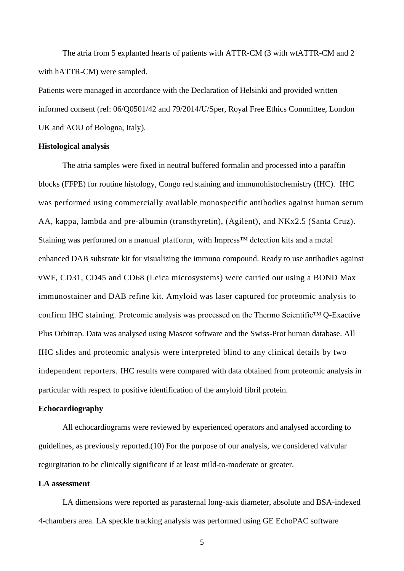The atria from 5 explanted hearts of patients with ATTR-CM (3 with wtATTR-CM and 2 with hATTR-CM) were sampled.

Patients were managed in accordance with the Declaration of Helsinki and provided written informed consent (ref: 06/Q0501/42 and 79/2014/U/Sper, Royal Free Ethics Committee, London UK and AOU of Bologna, Italy).

#### **Histological analysis**

The atria samples were fixed in neutral buffered formalin and processed into a paraffin blocks (FFPE) for routine histology, Congo red staining and immunohistochemistry (IHC). IHC was performed using commercially available monospecific antibodies against human serum AA, kappa, lambda and pre-albumin (transthyretin), (Agilent), and NKx2.5 (Santa Cruz). Staining was performed on a manual platform, with Impress<sup>™</sup> detection kits and a metal enhanced DAB substrate kit for visualizing the immuno compound. Ready to use antibodies against vWF, CD31, CD45 and CD68 (Leica microsystems) were carried out using a BOND Max immunostainer and DAB refine kit. Amyloid was laser captured for proteomic analysis to confirm IHC staining. Proteomic analysis was processed on the Thermo Scientific™ Q-Exactive Plus Orbitrap. Data was analysed using Mascot software and the Swiss-Prot human database. All IHC slides and proteomic analysis were interpreted blind to any clinical details by two independent reporters. IHC results were compared with data obtained from proteomic analysis in particular with respect to positive identification of the amyloid fibril protein.

#### **Echocardiography**

All echocardiograms were reviewed by experienced operators and analysed according to guidelines, as previously reported.(10) For the purpose of our analysis, we considered valvular regurgitation to be clinically significant if at least mild-to-moderate or greater.

#### **LA assessment**

LA dimensions were reported as parasternal long-axis diameter, absolute and BSA-indexed 4-chambers area. LA speckle tracking analysis was performed using GE EchoPAC software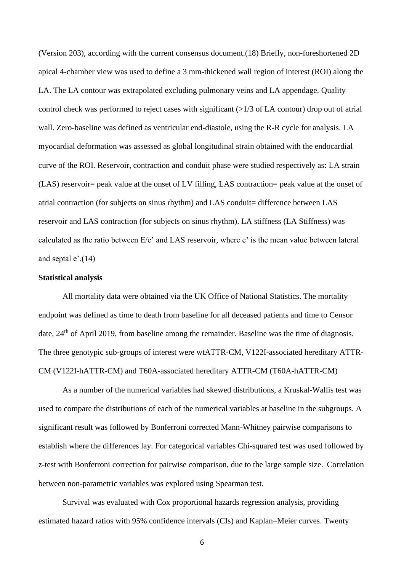(Version 203), according with the current consensus document.(18) Briefly, non-foreshortened 2D apical 4-chamber view was used to define a 3 mm-thickened wall region of interest (ROI) along the LA. The LA contour was extrapolated excluding pulmonary veins and LA appendage. Quality control check was performed to reject cases with significant (>1/3 of LA contour) drop out of atrial wall. Zero-baseline was defined as ventricular end-diastole, using the R-R cycle for analysis. LA myocardial deformation was assessed as global longitudinal strain obtained with the endocardial curve of the ROI. Reservoir, contraction and conduit phase were studied respectively as: LA strain (LAS) reservoir= peak value at the onset of LV filling, LAS contraction= peak value at the onset of atrial contraction (for subjects on sinus rhythm) and LAS conduit= difference between LAS reservoir and LAS contraction (for subjects on sinus rhythm). LA stiffness (LA Stiffness) was calculated as the ratio between E/e' and LAS reservoir, where e' is the mean value between lateral and septal  $e'(14)$ 

#### **Statistical analysis**

All mortality data were obtained via the UK Office of National Statistics. The mortality endpoint was defined as time to death from baseline for all deceased patients and time to Censor date, 24<sup>th</sup> of April 2019, from baseline among the remainder. Baseline was the time of diagnosis. The three genotypic sub-groups of interest were wtATTR-CM, V122I-associated hereditary ATTR-CM (V122I-hATTR-CM) and T60A-associated hereditary ATTR-CM (T60A-hATTR-CM)

As a number of the numerical variables had skewed distributions, a Kruskal-Wallis test was used to compare the distributions of each of the numerical variables at baseline in the subgroups. A significant result was followed by Bonferroni corrected Mann-Whitney pairwise comparisons to establish where the differences lay. For categorical variables Chi-squared test was used followed by z-test with Bonferroni correction for pairwise comparison, due to the large sample size. Correlation between non-parametric variables was explored using Spearman test.

Survival was evaluated with Cox proportional hazards regression analysis, providing estimated hazard ratios with 95% confidence intervals (CIs) and Kaplan–Meier curves. Twenty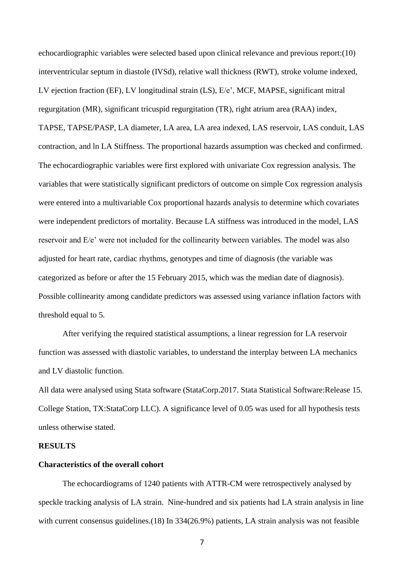echocardiographic variables were selected based upon clinical relevance and previous report:(10) interventricular septum in diastole (IVSd), relative wall thickness (RWT), stroke volume indexed, LV ejection fraction (EF), LV longitudinal strain (LS), E/e', MCF, MAPSE, significant mitral regurgitation (MR), significant tricuspid regurgitation (TR), right atrium area (RAA) index, TAPSE, TAPSE/PASP, LA diameter, LA area, LA area indexed, LAS reservoir, LAS conduit, LAS contraction, and ln LA Stiffness. The proportional hazards assumption was checked and confirmed. The echocardiographic variables were first explored with univariate Cox regression analysis. The variables that were statistically significant predictors of outcome on simple Cox regression analysis were entered into a multivariable Cox proportional hazards analysis to determine which covariates were independent predictors of mortality. Because LA stiffness was introduced in the model, LAS reservoir and E/e' were not included for the collinearity between variables. The model was also adjusted for heart rate, cardiac rhythms, genotypes and time of diagnosis (the variable was categorized as before or after the 15 February 2015, which was the median date of diagnosis). Possible collinearity among candidate predictors was assessed using variance inflation factors with threshold equal to 5.

After verifying the required statistical assumptions, a linear regression for LA reservoir function was assessed with diastolic variables, to understand the interplay between LA mechanics and LV diastolic function.

All data were analysed using Stata software (StataCorp.2017. Stata Statistical Software:Release 15. College Station, TX:StataCorp LLC). A significance level of 0.05 was used for all hypothesis tests unless otherwise stated.

#### **RESULTS**

#### **Characteristics of the overall cohort**

The echocardiograms of 1240 patients with ATTR-CM were retrospectively analysed by speckle tracking analysis of LA strain. Nine-hundred and six patients had LA strain analysis in line with current consensus guidelines.(18) In 334(26.9%) patients, LA strain analysis was not feasible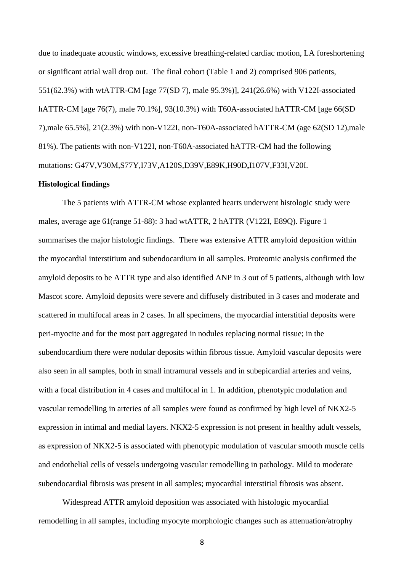due to inadequate acoustic windows, excessive breathing-related cardiac motion, LA foreshortening or significant atrial wall drop out. The final cohort (Table 1 and 2) comprised 906 patients, 551(62.3%) with wtATTR-CM [age 77(SD 7), male 95.3%)], 241(26.6%) with V122I-associated hATTR-CM [age 76(7), male 70.1%], 93(10.3%) with T60A-associated hATTR-CM [age 66(SD 7),male 65.5%], 21(2.3%) with non-V122I, non-T60A-associated hATTR-CM (age 62(SD 12),male 81%). The patients with non-V122I, non-T60A-associated hATTR-CM had the following mutations: G47V,V30M,S77Y,I73V,A120S,D39V,E89K,H90D**,**I107V,F33I,V20I.

#### **Histological findings**

The 5 patients with ATTR-CM whose explanted hearts underwent histologic study were males, average age 61(range 51-88): 3 had wtATTR, 2 hATTR (V122I, E89Q). Figure 1 summarises the major histologic findings. There was extensive ATTR amyloid deposition within the myocardial interstitium and subendocardium in all samples. Proteomic analysis confirmed the amyloid deposits to be ATTR type and also identified ANP in 3 out of 5 patients, although with low Mascot score. Amyloid deposits were severe and diffusely distributed in 3 cases and moderate and scattered in multifocal areas in 2 cases. In all specimens, the myocardial interstitial deposits were peri-myocite and for the most part aggregated in nodules replacing normal tissue; in the subendocardium there were nodular deposits within fibrous tissue. Amyloid vascular deposits were also seen in all samples, both in small intramural vessels and in subepicardial arteries and veins, with a focal distribution in 4 cases and multifocal in 1. In addition, phenotypic modulation and vascular remodelling in arteries of all samples were found as confirmed by high level of NKX2-5 expression in intimal and medial layers. NKX2-5 expression is not present in healthy adult vessels, as expression of NKX2-5 is associated with phenotypic modulation of vascular smooth muscle cells and endothelial cells of vessels undergoing vascular remodelling in pathology. Mild to moderate subendocardial fibrosis was present in all samples; myocardial interstitial fibrosis was absent.

Widespread ATTR amyloid deposition was associated with histologic myocardial remodelling in all samples, including myocyte morphologic changes such as attenuation/atrophy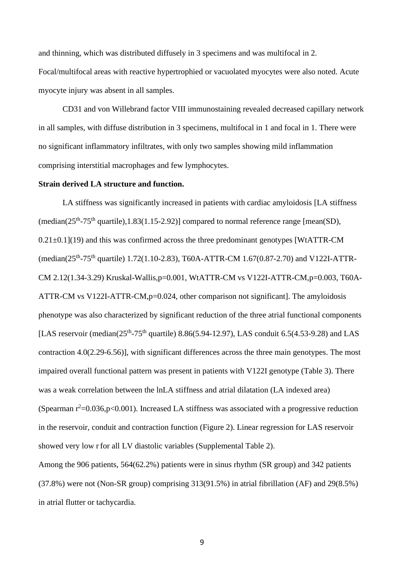and thinning, which was distributed diffusely in 3 specimens and was multifocal in 2. Focal/multifocal areas with reactive hypertrophied or vacuolated myocytes were also noted. Acute myocyte injury was absent in all samples.

CD31 and von Willebrand factor VIII immunostaining revealed decreased capillary network in all samples, with diffuse distribution in 3 specimens, multifocal in 1 and focal in 1. There were no significant inflammatory infiltrates, with only two samples showing mild inflammation comprising interstitial macrophages and few lymphocytes.

#### **Strain derived LA structure and function.**

LA stiffness was significantly increased in patients with cardiac amyloidosis [LA stiffness (median( $25<sup>th</sup> - 75<sup>th</sup>$  quartile),1.83(1.15-2.92)] compared to normal reference range [mean(SD),  $0.21 \pm 0.1$ ](19) and this was confirmed across the three predominant genotypes [WtATTR-CM] (median(25<sup>th</sup>-75<sup>th</sup> quartile) 1.72(1.10-2.83), T60A-ATTR-CM 1.67(0.87-2.70) and V122I-ATTR-CM 2.12(1.34-3.29) Kruskal-Wallis,p=0.001, WtATTR-CM vs V122I-ATTR-CM,p=0.003, T60A-ATTR-CM vs V122I-ATTR-CM,p=0.024, other comparison not significant]. The amyloidosis phenotype was also characterized by significant reduction of the three atrial functional components [LAS reservoir (median( $25<sup>th</sup> - 75<sup>th</sup>$  quartile) 8.86(5.94-12.97), LAS conduit 6.5(4.53-9.28) and LAS contraction 4.0(2.29-6.56)], with significant differences across the three main genotypes. The most impaired overall functional pattern was present in patients with V122I genotype (Table 3). There was a weak correlation between the lnLA stiffness and atrial dilatation (LA indexed area) (Spearman  $r^2$ =0.036,p<0.001). Increased LA stiffness was associated with a progressive reduction in the reservoir, conduit and contraction function (Figure 2). Linear regression for LAS reservoir showed very low r for all LV diastolic variables (Supplemental Table 2).

Among the 906 patients, 564(62.2%) patients were in sinus rhythm (SR group) and 342 patients (37.8%) were not (Non-SR group) comprising 313(91.5%) in atrial fibrillation (AF) and 29(8.5%) in atrial flutter or tachycardia.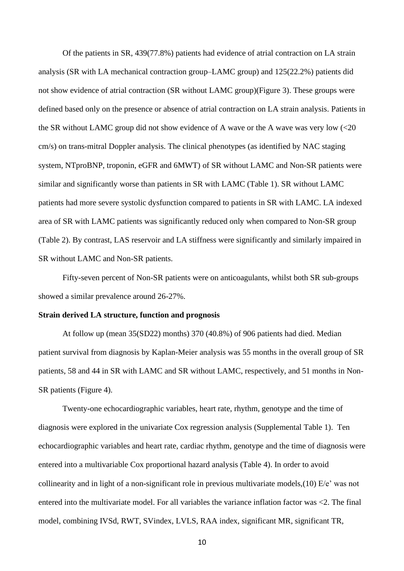Of the patients in SR, 439(77.8%) patients had evidence of atrial contraction on LA strain analysis (SR with LA mechanical contraction group–LAMC group) and 125(22.2%) patients did not show evidence of atrial contraction (SR without LAMC group)(Figure 3). These groups were defined based only on the presence or absence of atrial contraction on LA strain analysis. Patients in the SR without LAMC group did not show evidence of A wave or the A wave was very low (<20 cm/s) on trans-mitral Doppler analysis. The clinical phenotypes (as identified by NAC staging system, NTproBNP, troponin, eGFR and 6MWT) of SR without LAMC and Non-SR patients were similar and significantly worse than patients in SR with LAMC (Table 1). SR without LAMC patients had more severe systolic dysfunction compared to patients in SR with LAMC. LA indexed area of SR with LAMC patients was significantly reduced only when compared to Non-SR group (Table 2). By contrast, LAS reservoir and LA stiffness were significantly and similarly impaired in SR without LAMC and Non-SR patients.

Fifty-seven percent of Non-SR patients were on anticoagulants, whilst both SR sub-groups showed a similar prevalence around 26-27%.

#### **Strain derived LA structure, function and prognosis**

At follow up (mean 35(SD22) months) 370 (40.8%) of 906 patients had died. Median patient survival from diagnosis by Kaplan-Meier analysis was 55 months in the overall group of SR patients, 58 and 44 in SR with LAMC and SR without LAMC, respectively, and 51 months in Non-SR patients (Figure 4).

Twenty-one echocardiographic variables, heart rate, rhythm, genotype and the time of diagnosis were explored in the univariate Cox regression analysis (Supplemental Table 1). Ten echocardiographic variables and heart rate, cardiac rhythm, genotype and the time of diagnosis were entered into a multivariable Cox proportional hazard analysis (Table 4). In order to avoid collinearity and in light of a non-significant role in previous multivariate models,  $(10)$  E/e' was not entered into the multivariate model. For all variables the variance inflation factor was <2. The final model, combining IVSd, RWT, SVindex, LVLS, RAA index, significant MR, significant TR,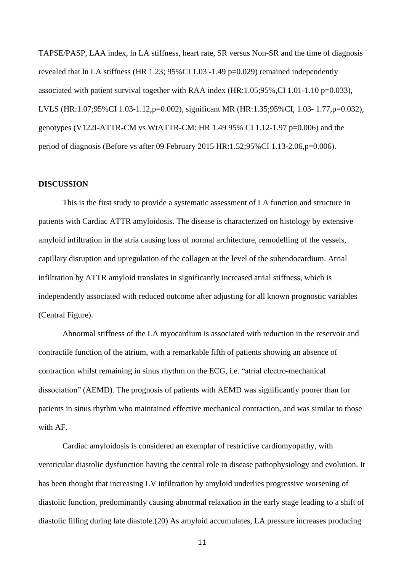TAPSE/PASP, LAA index, ln LA stiffness, heart rate, SR versus Non-SR and the time of diagnosis revealed that ln LA stiffness (HR 1.23; 95%CI 1.03 -1.49 p=0.029) remained independently associated with patient survival together with RAA index (HR:1.05;95%,CI 1.01-1.10 p=0.033), LVLS (HR:1.07;95%CI 1.03-1.12,p=0.002), significant MR (HR:1.35;95%CI, 1.03- 1.77,p=0.032), genotypes (V122I-ATTR-CM vs WtATTR-CM: HR 1.49 95% CI 1.12-1.97 p=0.006) and the period of diagnosis (Before vs after 09 February 2015 HR:1.52;95%CI 1.13-2.06,p=0.006).

#### **DISCUSSION**

This is the first study to provide a systematic assessment of LA function and structure in patients with Cardiac ATTR amyloidosis. The disease is characterized on histology by extensive amyloid infiltration in the atria causing loss of normal architecture, remodelling of the vessels, capillary disruption and upregulation of the collagen at the level of the subendocardium. Atrial infiltration by ATTR amyloid translates in significantly increased atrial stiffness, which is independently associated with reduced outcome after adjusting for all known prognostic variables (Central Figure).

Abnormal stiffness of the LA myocardium is associated with reduction in the reservoir and contractile function of the atrium, with a remarkable fifth of patients showing an absence of contraction whilst remaining in sinus rhythm on the ECG, i.e. "atrial electro-mechanical dissociation" (AEMD). The prognosis of patients with AEMD was significantly poorer than for patients in sinus rhythm who maintained effective mechanical contraction, and was similar to those with AF.

Cardiac amyloidosis is considered an exemplar of restrictive cardiomyopathy, with ventricular diastolic dysfunction having the central role in disease pathophysiology and evolution. It has been thought that increasing LV infiltration by amyloid underlies progressive worsening of diastolic function, predominantly causing abnormal relaxation in the early stage leading to a shift of diastolic filling during late diastole.(20) As amyloid accumulates, LA pressure increases producing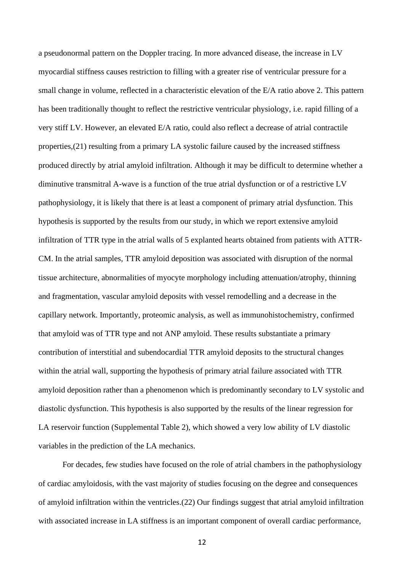a pseudonormal pattern on the Doppler tracing. In more advanced disease, the increase in LV myocardial stiffness causes restriction to filling with a greater rise of ventricular pressure for a small change in volume, reflected in a characteristic elevation of the E/A ratio above 2. This pattern has been traditionally thought to reflect the restrictive ventricular physiology, i.e. rapid filling of a very stiff LV. However, an elevated E/A ratio, could also reflect a decrease of atrial contractile properties,(21) resulting from a primary LA systolic failure caused by the increased stiffness produced directly by atrial amyloid infiltration. Although it may be difficult to determine whether a diminutive transmitral A-wave is a function of the true atrial dysfunction or of a restrictive LV pathophysiology, it is likely that there is at least a component of primary atrial dysfunction. This hypothesis is supported by the results from our study, in which we report extensive amyloid infiltration of TTR type in the atrial walls of 5 explanted hearts obtained from patients with ATTR-CM. In the atrial samples, TTR amyloid deposition was associated with disruption of the normal tissue architecture, abnormalities of myocyte morphology including attenuation/atrophy, thinning and fragmentation, vascular amyloid deposits with vessel remodelling and a decrease in the capillary network. Importantly, proteomic analysis, as well as immunohistochemistry, confirmed that amyloid was of TTR type and not ANP amyloid. These results substantiate a primary contribution of interstitial and subendocardial TTR amyloid deposits to the structural changes within the atrial wall, supporting the hypothesis of primary atrial failure associated with TTR amyloid deposition rather than a phenomenon which is predominantly secondary to LV systolic and diastolic dysfunction. This hypothesis is also supported by the results of the linear regression for LA reservoir function (Supplemental Table 2), which showed a very low ability of LV diastolic variables in the prediction of the LA mechanics.

For decades, few studies have focused on the role of atrial chambers in the pathophysiology of cardiac amyloidosis, with the vast majority of studies focusing on the degree and consequences of amyloid infiltration within the ventricles.(22) Our findings suggest that atrial amyloid infiltration with associated increase in LA stiffness is an important component of overall cardiac performance,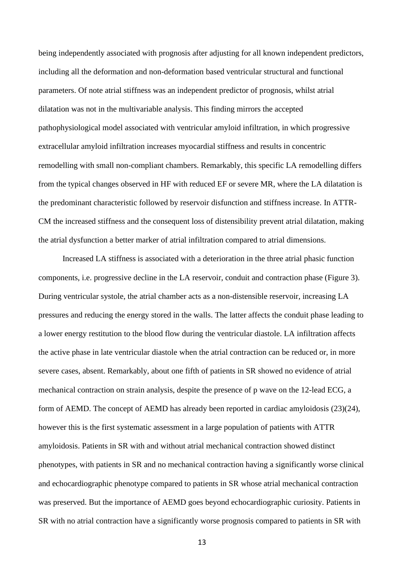being independently associated with prognosis after adjusting for all known independent predictors, including all the deformation and non-deformation based ventricular structural and functional parameters. Of note atrial stiffness was an independent predictor of prognosis, whilst atrial dilatation was not in the multivariable analysis. This finding mirrors the accepted pathophysiological model associated with ventricular amyloid infiltration, in which progressive extracellular amyloid infiltration increases myocardial stiffness and results in concentric remodelling with small non-compliant chambers. Remarkably, this specific LA remodelling differs from the typical changes observed in HF with reduced EF or severe MR, where the LA dilatation is the predominant characteristic followed by reservoir disfunction and stiffness increase. In ATTR-CM the increased stiffness and the consequent loss of distensibility prevent atrial dilatation, making the atrial dysfunction a better marker of atrial infiltration compared to atrial dimensions.

Increased LA stiffness is associated with a deterioration in the three atrial phasic function components, i.e. progressive decline in the LA reservoir, conduit and contraction phase (Figure 3). During ventricular systole, the atrial chamber acts as a non-distensible reservoir, increasing LA pressures and reducing the energy stored in the walls. The latter affects the conduit phase leading to a lower energy restitution to the blood flow during the ventricular diastole. LA infiltration affects the active phase in late ventricular diastole when the atrial contraction can be reduced or, in more severe cases, absent. Remarkably, about one fifth of patients in SR showed no evidence of atrial mechanical contraction on strain analysis, despite the presence of p wave on the 12-lead ECG, a form of AEMD. The concept of AEMD has already been reported in cardiac amyloidosis (23)(24), however this is the first systematic assessment in a large population of patients with ATTR amyloidosis. Patients in SR with and without atrial mechanical contraction showed distinct phenotypes, with patients in SR and no mechanical contraction having a significantly worse clinical and echocardiographic phenotype compared to patients in SR whose atrial mechanical contraction was preserved. But the importance of AEMD goes beyond echocardiographic curiosity. Patients in SR with no atrial contraction have a significantly worse prognosis compared to patients in SR with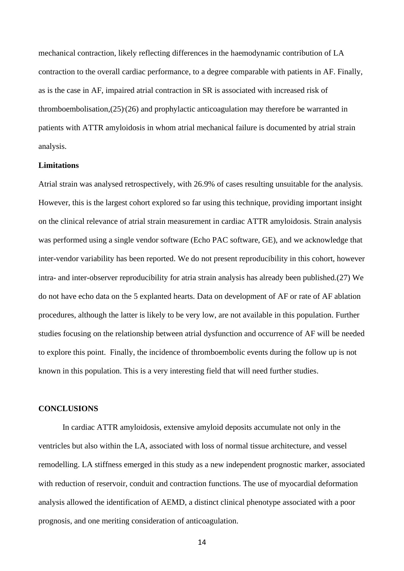mechanical contraction, likely reflecting differences in the haemodynamic contribution of LA contraction to the overall cardiac performance, to a degree comparable with patients in AF. Finally, as is the case in AF, impaired atrial contraction in SR is associated with increased risk of thromboembolisation, (25) (26) and prophylactic anticoagulation may therefore be warranted in patients with ATTR amyloidosis in whom atrial mechanical failure is documented by atrial strain analysis.

#### **Limitations**

Atrial strain was analysed retrospectively, with 26.9% of cases resulting unsuitable for the analysis. However, this is the largest cohort explored so far using this technique, providing important insight on the clinical relevance of atrial strain measurement in cardiac ATTR amyloidosis. Strain analysis was performed using a single vendor software (Echo PAC software, GE), and we acknowledge that inter-vendor variability has been reported. We do not present reproducibility in this cohort, however intra- and inter-observer reproducibility for atria strain analysis has already been published.(27) We do not have echo data on the 5 explanted hearts. Data on development of AF or rate of AF ablation procedures, although the latter is likely to be very low, are not available in this population. Further studies focusing on the relationship between atrial dysfunction and occurrence of AF will be needed to explore this point. Finally, the incidence of thromboembolic events during the follow up is not known in this population. This is a very interesting field that will need further studies.

#### **CONCLUSIONS**

In cardiac ATTR amyloidosis, extensive amyloid deposits accumulate not only in the ventricles but also within the LA, associated with loss of normal tissue architecture, and vessel remodelling. LA stiffness emerged in this study as a new independent prognostic marker, associated with reduction of reservoir, conduit and contraction functions. The use of myocardial deformation analysis allowed the identification of AEMD, a distinct clinical phenotype associated with a poor prognosis, and one meriting consideration of anticoagulation.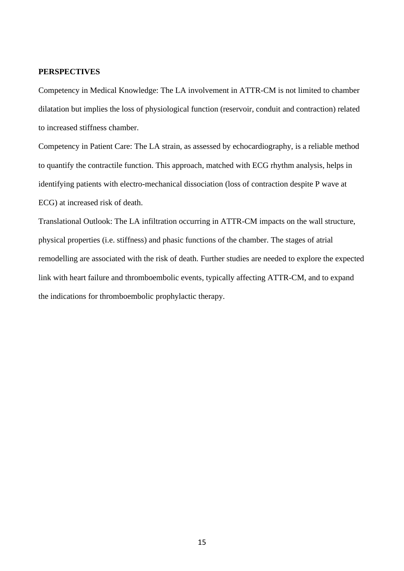#### **PERSPECTIVES**

Competency in Medical Knowledge: The LA involvement in ATTR-CM is not limited to chamber dilatation but implies the loss of physiological function (reservoir, conduit and contraction) related to increased stiffness chamber.

Competency in Patient Care: The LA strain, as assessed by echocardiography, is a reliable method to quantify the contractile function. This approach, matched with ECG rhythm analysis, helps in identifying patients with electro-mechanical dissociation (loss of contraction despite P wave at ECG) at increased risk of death.

Translational Outlook: The LA infiltration occurring in ATTR-CM impacts on the wall structure, physical properties (i.e. stiffness) and phasic functions of the chamber. The stages of atrial remodelling are associated with the risk of death. Further studies are needed to explore the expected link with heart failure and thromboembolic events, typically affecting ATTR-CM, and to expand the indications for thromboembolic prophylactic therapy.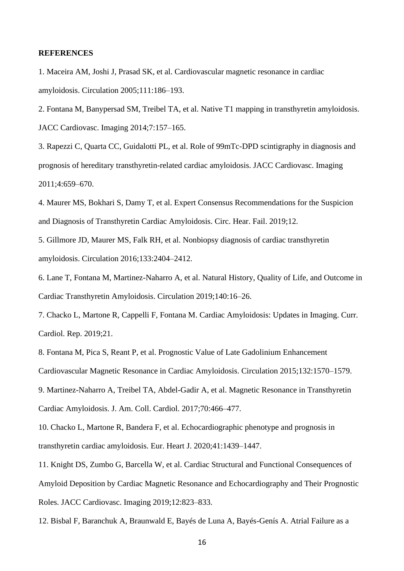#### **REFERENCES**

1. Maceira AM, Joshi J, Prasad SK, et al. Cardiovascular magnetic resonance in cardiac amyloidosis. Circulation 2005;111:186–193.

2. Fontana M, Banypersad SM, Treibel TA, et al. Native T1 mapping in transthyretin amyloidosis. JACC Cardiovasc. Imaging 2014;7:157–165.

3. Rapezzi C, Quarta CC, Guidalotti PL, et al. Role of 99mTc-DPD scintigraphy in diagnosis and prognosis of hereditary transthyretin-related cardiac amyloidosis. JACC Cardiovasc. Imaging 2011;4:659–670.

4. Maurer MS, Bokhari S, Damy T, et al. Expert Consensus Recommendations for the Suspicion and Diagnosis of Transthyretin Cardiac Amyloidosis. Circ. Hear. Fail. 2019;12.

5. Gillmore JD, Maurer MS, Falk RH, et al. Nonbiopsy diagnosis of cardiac transthyretin amyloidosis. Circulation 2016;133:2404–2412.

6. Lane T, Fontana M, Martinez-Naharro A, et al. Natural History, Quality of Life, and Outcome in Cardiac Transthyretin Amyloidosis. Circulation 2019;140:16–26.

7. Chacko L, Martone R, Cappelli F, Fontana M. Cardiac Amyloidosis: Updates in Imaging. Curr. Cardiol. Rep. 2019;21.

8. Fontana M, Pica S, Reant P, et al. Prognostic Value of Late Gadolinium Enhancement Cardiovascular Magnetic Resonance in Cardiac Amyloidosis. Circulation 2015;132:1570–1579.

9. Martinez-Naharro A, Treibel TA, Abdel-Gadir A, et al. Magnetic Resonance in Transthyretin Cardiac Amyloidosis. J. Am. Coll. Cardiol. 2017;70:466–477.

10. Chacko L, Martone R, Bandera F, et al. Echocardiographic phenotype and prognosis in transthyretin cardiac amyloidosis. Eur. Heart J. 2020;41:1439–1447.

11. Knight DS, Zumbo G, Barcella W, et al. Cardiac Structural and Functional Consequences of Amyloid Deposition by Cardiac Magnetic Resonance and Echocardiography and Their Prognostic Roles. JACC Cardiovasc. Imaging 2019;12:823–833.

12. Bisbal F, Baranchuk A, Braunwald E, Bayés de Luna A, Bayés-Genís A. Atrial Failure as a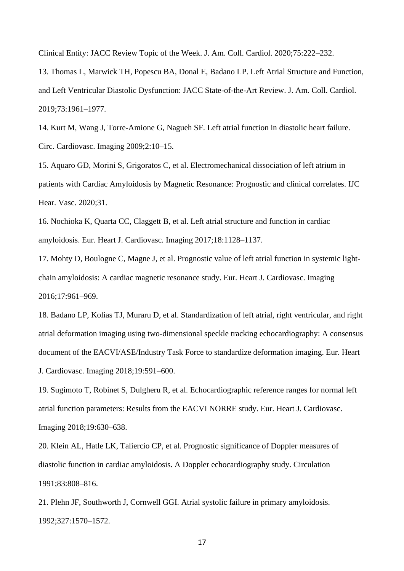Clinical Entity: JACC Review Topic of the Week. J. Am. Coll. Cardiol. 2020;75:222–232.

13. Thomas L, Marwick TH, Popescu BA, Donal E, Badano LP. Left Atrial Structure and Function, and Left Ventricular Diastolic Dysfunction: JACC State-of-the-Art Review. J. Am. Coll. Cardiol. 2019;73:1961–1977.

14. Kurt M, Wang J, Torre-Amione G, Nagueh SF. Left atrial function in diastolic heart failure. Circ. Cardiovasc. Imaging 2009;2:10–15.

15. Aquaro GD, Morini S, Grigoratos C, et al. Electromechanical dissociation of left atrium in patients with Cardiac Amyloidosis by Magnetic Resonance: Prognostic and clinical correlates. IJC Hear. Vasc. 2020;31.

16. Nochioka K, Quarta CC, Claggett B, et al. Left atrial structure and function in cardiac amyloidosis. Eur. Heart J. Cardiovasc. Imaging 2017;18:1128–1137.

17. Mohty D, Boulogne C, Magne J, et al. Prognostic value of left atrial function in systemic lightchain amyloidosis: A cardiac magnetic resonance study. Eur. Heart J. Cardiovasc. Imaging 2016;17:961–969.

18. Badano LP, Kolias TJ, Muraru D, et al. Standardization of left atrial, right ventricular, and right atrial deformation imaging using two-dimensional speckle tracking echocardiography: A consensus document of the EACVI/ASE/Industry Task Force to standardize deformation imaging. Eur. Heart J. Cardiovasc. Imaging 2018;19:591–600.

19. Sugimoto T, Robinet S, Dulgheru R, et al. Echocardiographic reference ranges for normal left atrial function parameters: Results from the EACVI NORRE study. Eur. Heart J. Cardiovasc. Imaging 2018;19:630–638.

20. Klein AL, Hatle LK, Taliercio CP, et al. Prognostic significance of Doppler measures of diastolic function in cardiac amyloidosis. A Doppler echocardiography study. Circulation 1991;83:808–816.

21. Plehn JF, Southworth J, Cornwell GGI. Atrial systolic failure in primary amyloidosis. 1992;327:1570–1572.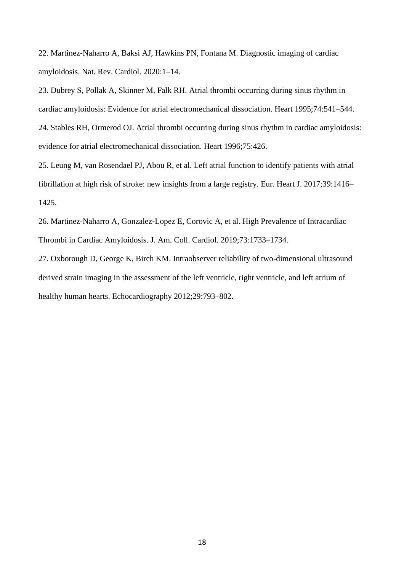22. Martinez-Naharro A, Baksi AJ, Hawkins PN, Fontana M. Diagnostic imaging of cardiac amyloidosis. Nat. Rev. Cardiol. 2020:1–14.

23. Dubrey S, Pollak A, Skinner M, Falk RH. Atrial thrombi occurring during sinus rhythm in cardiac amyloidosis: Evidence for atrial electromechanical dissociation. Heart 1995;74:541–544. 24. Stables RH, Ormerod OJ. Atrial thrombi occurring during sinus rhythm in cardiac amyloidosis: evidence for atrial electromechanical dissociation. Heart 1996;75:426.

25. Leung M, van Rosendael PJ, Abou R, et al. Left atrial function to identify patients with atrial fibrillation at high risk of stroke: new insights from a large registry. Eur. Heart J. 2017;39:1416– 1425.

26. Martinez-Naharro A, Gonzalez-Lopez E, Corovic A, et al. High Prevalence of Intracardiac Thrombi in Cardiac Amyloidosis. J. Am. Coll. Cardiol. 2019;73:1733–1734.

27. Oxborough D, George K, Birch KM. Intraobserver reliability of two-dimensional ultrasound derived strain imaging in the assessment of the left ventricle, right ventricle, and left atrium of healthy human hearts. Echocardiography 2012;29:793–802.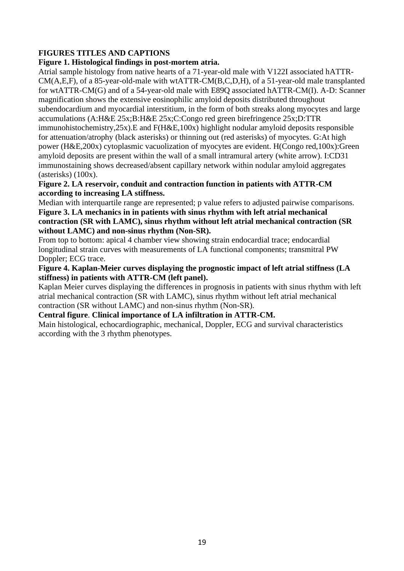## **FIGURES TITLES AND CAPTIONS**

### **Figure 1. Histological findings in post-mortem atria.**

Atrial sample histology from native hearts of a 71-year-old male with V122I associated hATTR-CM(A,E,F), of a 85-year-old-male with wtATTR-CM(B,C,D,H), of a 51-year-old male transplanted for wtATTR-CM(G) and of a 54-year-old male with E89Q associated hATTR-CM(I). A-D: Scanner magnification shows the extensive eosinophilic amyloid deposits distributed throughout subendocardium and myocardial interstitium, in the form of both streaks along myocytes and large accumulations (A:H&E 25x;B:H&E 25x;C:Congo red green birefringence 25x;D:TTR immunohistochemistry,25x).E and F(H&E,100x) highlight nodular amyloid deposits responsible for attenuation/atrophy (black asterisks) or thinning out (red asterisks) of myocytes. G:At high power (H&E,200x) cytoplasmic vacuolization of myocytes are evident. H(Congo red,100x):Green amyloid deposits are present within the wall of a small intramural artery (white arrow). I:CD31 immunostaining shows decreased/absent capillary network within nodular amyloid aggregates (asterisks) (100x).

**Figure 2. LA reservoir, conduit and contraction function in patients with ATTR-CM according to increasing LA stiffness.**

Median with interquartile range are represented; p value refers to adjusted pairwise comparisons. **Figure 3. LA mechanics in in patients with sinus rhythm with left atrial mechanical contraction (SR with LAMC), sinus rhythm without left atrial mechanical contraction (SR without LAMC) and non-sinus rhythm (Non-SR).** 

From top to bottom: apical 4 chamber view showing strain endocardial trace; endocardial longitudinal strain curves with measurements of LA functional components; transmitral PW Doppler; ECG trace.

**Figure 4. Kaplan-Meier curves displaying the prognostic impact of left atrial stiffness (LA stiffness) in patients with ATTR-CM (left panel).**

Kaplan Meier curves displaying the differences in prognosis in patients with sinus rhythm with left atrial mechanical contraction (SR with LAMC), sinus rhythm without left atrial mechanical contraction (SR without LAMC) and non-sinus rhythm (Non-SR).

#### **Central figure**. **Clinical importance of LA infiltration in ATTR-CM.**

Main histological, echocardiographic, mechanical, Doppler, ECG and survival characteristics according with the 3 rhythm phenotypes.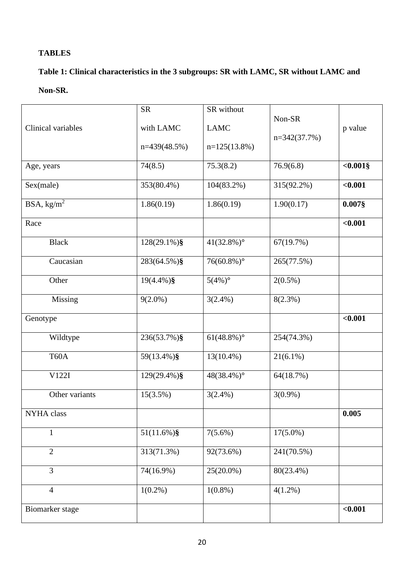# **TABLES**

# **Table 1: Clinical characteristics in the 3 subgroups: SR with LAMC, SR without LAMC and**

## **Non-SR.**

|                                        | <b>SR</b>       | SR without                |                |            |
|----------------------------------------|-----------------|---------------------------|----------------|------------|
| Clinical variables                     | with LAMC       | <b>LAMC</b>               | Non-SR         | p value    |
|                                        | $n=439(48.5%)$  | $n=125(13.8%)$            | $n=342(37.7%)$ |            |
| Age, years                             | 74(8.5)         | 75.3(8.2)                 | 76.9(6.8)      | $<0.001$ § |
| Sex(male)                              | 353(80.4%)      | 104(83.2%)                | 315(92.2%)     | < 0.001    |
| $\overline{\text{BSA}, \text{kg/m}^2}$ | 1.86(0.19)      | 1.86(0.19)                | 1.90(0.17)     | $0.007$ §  |
| Race                                   |                 |                           |                | $0.001$    |
| <b>Black</b>                           | $128(29.1\%)$ § | $41(32.8\%)$ °            | 67(19.7%)      |            |
| Caucasian                              | 283(64.5%)§     | $76(60.8\%)$ °            | 265(77.5%)     |            |
| Other                                  | $19(4.4\%)$ §   | $5(4\%)$ <sup>o</sup>     | $2(0.5\%)$     |            |
| Missing                                | $9(2.0\%)$      | $3(2.4\%)$                | $8(2.3\%)$     |            |
| Genotype                               |                 |                           |                | < 0.001    |
| Wildtype                               | 236(53.7%)§     | $61(48.8\%)$ °            | 254(74.3%)     |            |
| T60A                                   | 59(13.4%)§      | $13(10.4\%)$              | $21(6.1\%)$    |            |
| V122I                                  | 129(29.4%)§     | $48(38.4\%)$ <sup>o</sup> | 64(18.7%)      |            |
| Other variants                         | 15(3.5%)        | $3(2.4\%)$                | $3(0.9\%)$     |            |
| NYHA class                             |                 |                           |                | 0.005      |
| $\mathbf{1}$                           | $51(11.6\%)$ §  | $7(5.6\%)$                | $17(5.0\%)$    |            |
| $\overline{2}$                         | 313(71.3%)      | 92(73.6%)                 | 241(70.5%)     |            |
| $\overline{3}$                         | 74(16.9%)       | 25(20.0%)                 | 80(23.4%)      |            |
| $\overline{4}$                         | $1(0.2\%)$      | $1(0.8\%)$                | $4(1.2\%)$     |            |
| Biomarker stage                        |                 |                           |                | $0.001$    |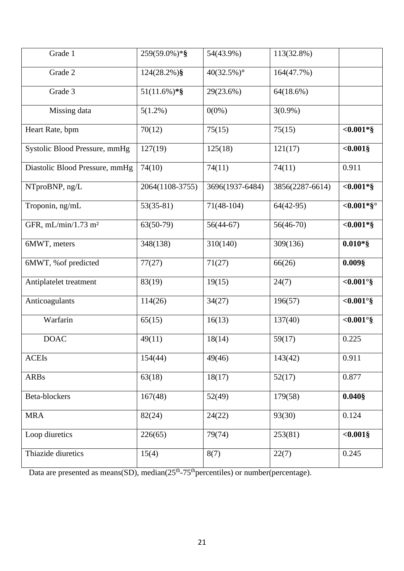| Grade 1                         | 259(59.0%)*§    | 54(43.9%)       | 113(32.8%)      |               |
|---------------------------------|-----------------|-----------------|-----------------|---------------|
| Grade 2                         | $124(28.2\%)$ § | $40(32.5\%)$ °  | 164(47.7%)      |               |
| Grade 3                         | $51(11.6\%)$ *§ | 29(23.6%)       | $64(18.6\%)$    |               |
| Missing data                    | $5(1.2\%)$      | $0(0\%)$        | $3(0.9\%)$      |               |
| Heart Rate, bpm                 | 70(12)          | 75(15)          | 75(15)          | $<0.001*$ §   |
| Systolic Blood Pressure, mmHg   | 127(19)         | 125(18)         | 121(17)         | $<0.001$ §    |
| Diastolic Blood Pressure, mmHg  | 74(10)          | 74(11)          | 74(11)          | 0.911         |
| NTproBNP, ng/L                  | 2064(1108-3755) | 3696(1937-6484) | 3856(2287-6614) | $<0.001*$ §   |
| Troponin, ng/mL                 | $53(35-81)$     | $71(48-104)$    | $64(42-95)$     | $< 0.001*$ §° |
| GFR, mL/min/1.73 m <sup>2</sup> | $63(50-79)$     | $56(44-67)$     | $56(46-70)$     | $<0.001*$ §   |
| 6MWT, meters                    | 348(138)        | 310(140)        | 309(136)        | $0.010*$ §    |
| 6MWT, % of predicted            | 77(27)          | 71(27)          | 66(26)          | $0.009$ §     |
| Antiplatelet treatment          | 83(19)          | 19(15)          | 24(7)           | $< 0.001°$ §  |
| Anticoagulants                  | 114(26)         | 34(27)          | 196(57)         | $< 0.001°$ §  |
| Warfarin                        | 65(15)          | 16(13)          | 137(40)         | $< 0.001°$ §  |
| <b>DOAC</b>                     | 49(11)          | 18(14)          | 59(17)          | 0.225         |
| <b>ACEIs</b>                    | 154(44)         | 49(46)          | 143(42)         | 0.911         |
| <b>ARBs</b>                     | 63(18)          | 18(17)          | 52(17)          | 0.877         |
| Beta-blockers                   | 167(48)         | 52(49)          | 179(58)         | $0.040$ §     |
| <b>MRA</b>                      | 82(24)          | 24(22)          | 93(30)          | 0.124         |
| Loop diuretics                  | 226(65)         | 79(74)          | 253(81)         | $<0.001$ §    |
| Thiazide diuretics              | 15(4)           | 8(7)            | 22(7)           | 0.245         |

Data are presented as means(SD), median $(25<sup>th</sup>-75<sup>th</sup>$  percentiles) or number(percentage).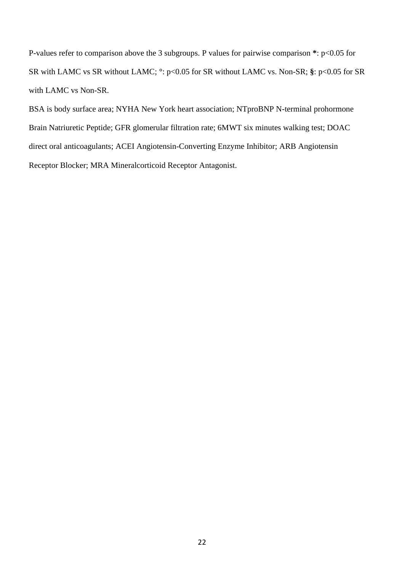P-values refer to comparison above the 3 subgroups. P values for pairwise comparison **\***: p<0.05 for SR with LAMC vs SR without LAMC; **°**: p<0.05 for SR without LAMC vs. Non-SR; **§**: p<0.05 for SR with LAMC vs Non-SR.

BSA is body surface area; NYHA New York heart association; NTproBNP N-terminal prohormone Brain Natriuretic Peptide; GFR glomerular filtration rate; 6MWT six minutes walking test; DOAC direct oral anticoagulants; ACEI Angiotensin-Converting Enzyme Inhibitor; ARB Angiotensin Receptor Blocker; MRA Mineralcorticoid Receptor Antagonist.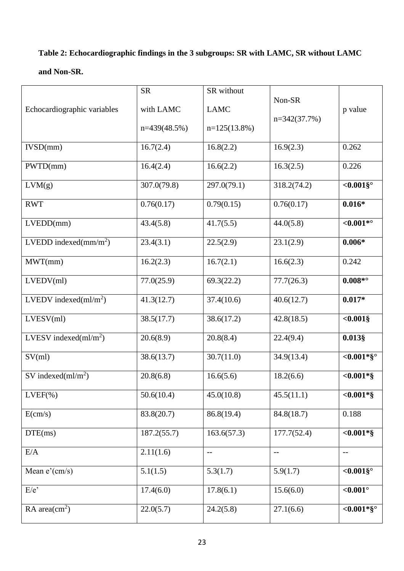# **Table 2: Echocardiographic findings in the 3 subgroups: SR with LAMC, SR without LAMC**

## **and Non-SR.**

| Echocardiographic variables | <b>SR</b><br>with LAMC<br>$n=439(48.5%)$ | SR without<br><b>LAMC</b><br>$n=125(13.8%)$ | Non-SR<br>$n=342(37.7%)$ | p value       |
|-----------------------------|------------------------------------------|---------------------------------------------|--------------------------|---------------|
| IVSD(mm)                    | 16.7(2.4)                                | 16.8(2.2)                                   | 16.9(2.3)                | 0.262         |
| PWTD(mm)                    | 16.4(2.4)                                | 16.6(2.2)                                   | 16.3(2.5)                | 0.226         |
| LVM(g)                      | 307.0(79.8)                              | 297.0(79.1)                                 | 318.2(74.2)              | $<0.001$ §°   |
| <b>RWT</b>                  | 0.76(0.17)                               | 0.79(0.15)                                  | 0.76(0.17)               | $0.016*$      |
| LVEDD(mm)                   | 43.4(5.8)                                | 41.7(5.5)                                   | 44.0(5.8)                | ${<}0.001*$   |
| LVEDD indexed $(mm/m2)$     | 23.4(3.1)                                | 22.5(2.9)                                   | 23.1(2.9)                | $0.006*$      |
| MWT(mm)                     | 16.2(2.3)                                | 16.7(2.1)                                   | 16.6(2.3)                | 0.242         |
| LVEDV(ml)                   | 77.0(25.9)                               | 69.3(22.2)                                  | 77.7(26.3)               | $0.008*°$     |
| LVEDV indexed $(ml/m2)$     | 41.3(12.7)                               | 37.4(10.6)                                  | 40.6(12.7)               | $0.017*$      |
| LVESV(ml)                   | 38.5(17.7)                               | 38.6(17.2)                                  | 42.8(18.5)               | $<0.001$ §    |
| LVESV indexed $(ml/m^2)$    | 20.6(8.9)                                | 20.8(8.4)                                   | 22.4(9.4)                | $0.013$ §     |
| SV(ml)                      | 38.6(13.7)                               | 30.7(11.0)                                  | 34.9(13.4)               | $< 0.001*$ §° |
| SV indexed $(ml/m^2)$       | 20.8(6.8)                                | 16.6(5.6)                                   | 18.2(6.6)                | $<0.001*$ §   |
| $LVEF(\% )$                 | 50.6(10.4)                               | 45.0(10.8)                                  | 45.5(11.1)               | $<0.001*$ §   |
| E(cm/s)                     | 83.8(20.7)                               | 86.8(19.4)                                  | 84.8(18.7)               | 0.188         |
| DTE(ms)                     | 187.2(55.7)                              | 163.6(57.3)                                 | 177.7(52.4)              | $<0.001*$ §   |
| E/A                         | 2.11(1.6)                                | $\overline{\phantom{m}}$                    | $ -$                     | $-$           |
| Mean $e'(cm/s)$             | 5.1(1.5)                                 | 5.3(1.7)                                    | 5.9(1.7)                 | $<0.001$ §°   |
| $E/e$ <sup>,</sup>          | 17.4(6.0)                                | 17.8(6.1)                                   | 15.6(6.0)                | $0.001$       |
| RA area $\text{cm}^2$ )     | 22.0(5.7)                                | 24.2(5.8)                                   | 27.1(6.6)                | $< 0.001*$ §° |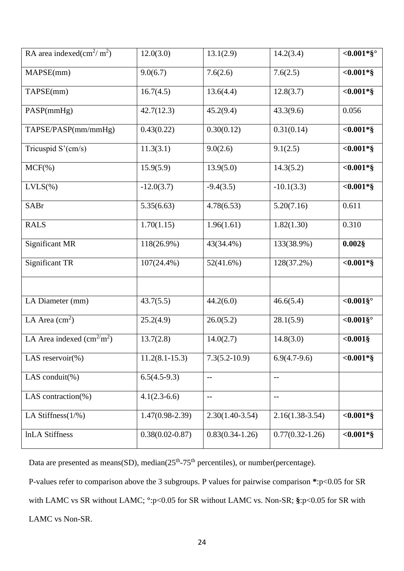| RA area indexed(cm <sup>2</sup> /m <sup>2</sup> ) | 12.0(3.0)           | 13.1(2.9)         | 14.2(3.4)           | $< 0.001*$ §° |
|---------------------------------------------------|---------------------|-------------------|---------------------|---------------|
| MAPSE(mm)                                         | 9.0(6.7)            | 7.6(2.6)          | 7.6(2.5)            | $<0.001*$ §   |
| TAPSE(mm)                                         | 16.7(4.5)           | 13.6(4.4)         | 12.8(3.7)           | $<0.001*$ §   |
| PASP(mmHg)                                        | 42.7(12.3)          | 45.2(9.4)         | 43.3(9.6)           | 0.056         |
| TAPSE/PASP(mm/mmHg)                               | 0.43(0.22)          | 0.30(0.12)        | 0.31(0.14)          | $<0.001*$ §   |
| Tricuspid S'(cm/s)                                | 11.3(3.1)           | 9.0(2.6)          | 9.1(2.5)            | $<0.001*$ §   |
| $MCF(\% )$                                        | 15.9(5.9)           | 13.9(5.0)         | 14.3(5.2)           | $<0.001*$ §   |
| $LVLS$ (%)                                        | $-12.0(3.7)$        | $-9.4(3.5)$       | $-10.1(3.3)$        | $<0.001*$ §   |
| <b>SABr</b>                                       | 5.35(6.63)          | 4.78(6.53)        | 5.20(7.16)          | 0.611         |
| <b>RALS</b>                                       | 1.70(1.15)          | 1.96(1.61)        | 1.82(1.30)          | 0.310         |
| Significant MR                                    | 118(26.9%)          | 43(34.4%)         | 133(38.9%)          | $0.002$ §     |
| <b>Significant TR</b>                             | $107(24.4\%)$       | 52(41.6%)         | 128(37.2%)          | $<0.001*$ §   |
|                                                   |                     |                   |                     |               |
| LA Diameter (mm)                                  | 43.7(5.5)           | 44.2(6.0)         | 46.6(5.4)           | $<0.001$ §°   |
| LA Area $\text{cm}^2$ )                           | 25.2(4.9)           | 26.0(5.2)         | 28.1(5.9)           | $<0.001$ §°   |
| LA Area indexed $(cm2 m2)$                        | 13.7(2.8)           | 14.0(2.7)         | 14.8(3.0)           | $<0.001$ §    |
| LAS reservoir $(\%)$                              | $11.2(8.1 - 15.3)$  | $7.3(5.2 - 10.9)$ | $6.9(4.7-9.6)$      | $<0.001*$ §   |
| LAS conduit $(\%)$                                | $6.5(4.5-9.3)$      | $-\, -$           | $-\, -$             |               |
| LAS contraction $(\%)$                            | $4.1(2.3-6.6)$      | $-$               | $\qquad \qquad -$   |               |
| LA Stiffness $(1/\%)$                             | $1.47(0.98-2.39)$   | $2.30(1.40-3.54)$ | $2.16(1.38-3.54)$   | $<0.001*$ §   |
| <b>InLA Stiffness</b>                             | $0.38(0.02 - 0.87)$ | $0.83(0.34-1.26)$ | $0.77(0.32 - 1.26)$ | $<0.001*$ §   |

Data are presented as means(SD), median $(25<sup>th</sup>-75<sup>th</sup>$  percentiles), or number(percentage).

P-values refer to comparison above the 3 subgroups. P values for pairwise comparison **\***:p<0.05 for SR with LAMC vs SR without LAMC; **°**:p<0.05 for SR without LAMC vs. Non-SR; **§**:p<0.05 for SR with LAMC vs Non-SR.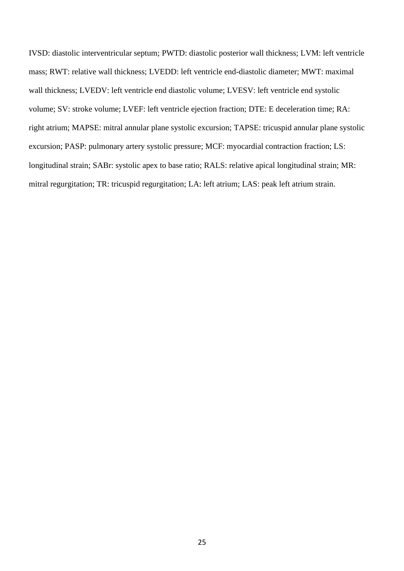IVSD: diastolic interventricular septum; PWTD: diastolic posterior wall thickness; LVM: left ventricle mass; RWT: relative wall thickness; LVEDD: left ventricle end-diastolic diameter; MWT: maximal wall thickness; LVEDV: left ventricle end diastolic volume; LVESV: left ventricle end systolic volume; SV: stroke volume; LVEF: left ventricle ejection fraction; DTE: E deceleration time; RA: right atrium; MAPSE: mitral annular plane systolic excursion; TAPSE: tricuspid annular plane systolic excursion; PASP: pulmonary artery systolic pressure; MCF: myocardial contraction fraction; LS: longitudinal strain; SABr: systolic apex to base ratio; RALS: relative apical longitudinal strain; MR: mitral regurgitation; TR: tricuspid regurgitation; LA: left atrium; LAS: peak left atrium strain.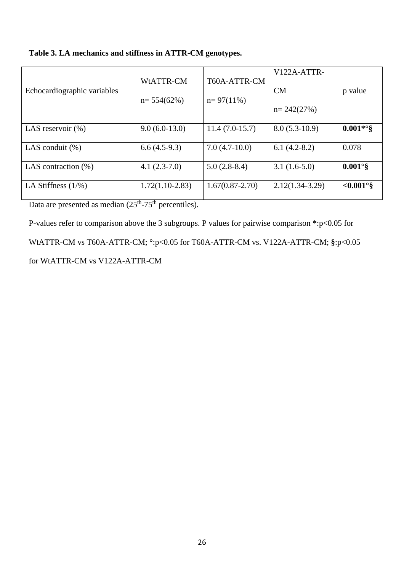| Table 3. LA mechanics and stiffness in ATTR-CM genotypes. |  |  |
|-----------------------------------------------------------|--|--|
|                                                           |  |  |

| Echocardiographic variables | WtATTR-CM<br>$n=554(62%)$ | T60A-ATTR-CM<br>$n=97(11\%)$ | V122A-ATTR-<br><b>CM</b><br>$n = 242(27%)$ | p value           |
|-----------------------------|---------------------------|------------------------------|--------------------------------------------|-------------------|
| LAS reservoir $(\%)$        | $9.0(6.0-13.0)$           | $11.4(7.0-15.7)$             | $8.0(5.3-10.9)$                            | $0.001**$ °§      |
| LAS conduit $(\%)$          | $6.6(4.5-9.3)$            | $7.0(4.7-10.0)$              | $6.1(4.2-8.2)$                             | 0.078             |
| LAS contraction $(\%)$      | $4.1(2.3-7.0)$            | $5.0(2.8-8.4)$               | $3.1(1.6-5.0)$                             | $0.001^\circ$ §   |
| LA Stiffness $(1/\%)$       | $1.72(1.10-2.83)$         | $1.67(0.87 - 2.70)$          | $2.12(1.34-3.29)$                          | $< 0.001^\circ$ § |

Data are presented as median  $(25<sup>th</sup>-75<sup>th</sup>$  percentiles).

P-values refer to comparison above the 3 subgroups. P values for pairwise comparison **\***:p<0.05 for WtATTR-CM vs T60A-ATTR-CM; **°**:p<0.05 for T60A-ATTR-CM vs. V122A-ATTR-CM; **§**:p<0.05 for WtATTR-CM vs V122A-ATTR-CM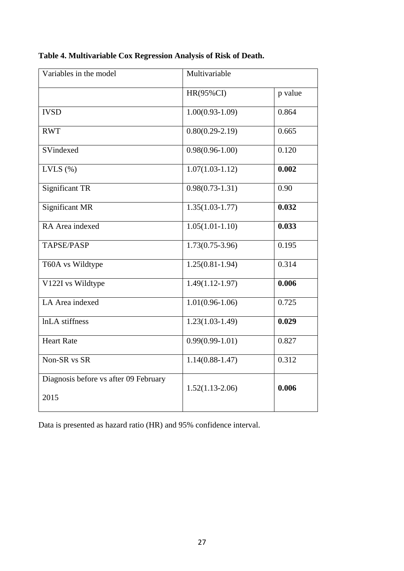| Variables in the model                | Multivariable       |         |  |  |
|---------------------------------------|---------------------|---------|--|--|
|                                       | HR(95%CI)           | p value |  |  |
| <b>IVSD</b>                           | $1.00(0.93-1.09)$   | 0.864   |  |  |
| <b>RWT</b>                            | $0.80(0.29-2.19)$   | 0.665   |  |  |
| SVindexed                             | $0.98(0.96 - 1.00)$ | 0.120   |  |  |
| LVLS $(\% )$                          | $1.07(1.03-1.12)$   | 0.002   |  |  |
| <b>Significant TR</b>                 | $0.98(0.73-1.31)$   | 0.90    |  |  |
| <b>Significant MR</b>                 | $1.35(1.03-1.77)$   | 0.032   |  |  |
| RA Area indexed                       | $1.05(1.01-1.10)$   | 0.033   |  |  |
| TAPSE/PASP                            | $1.73(0.75-3.96)$   | 0.195   |  |  |
| T60A vs Wildtype                      | $1.25(0.81 - 1.94)$ | 0.314   |  |  |
| V122I vs Wildtype                     | $1.49(1.12 - 1.97)$ | 0.006   |  |  |
| LA Area indexed                       | $1.01(0.96 - 1.06)$ | 0.725   |  |  |
| lnLA stiffness                        | $1.23(1.03-1.49)$   | 0.029   |  |  |
| <b>Heart Rate</b>                     | $0.99(0.99-1.01)$   | 0.827   |  |  |
| Non-SR vs SR                          | $1.14(0.88 - 1.47)$ | 0.312   |  |  |
| Diagnosis before vs after 09 February | $1.52(1.13-2.06)$   | 0.006   |  |  |
| 2015                                  |                     |         |  |  |

|  |  | Table 4. Multivariable Cox Regression Analysis of Risk of Death. |  |
|--|--|------------------------------------------------------------------|--|
|  |  |                                                                  |  |

Data is presented as hazard ratio (HR) and 95% confidence interval.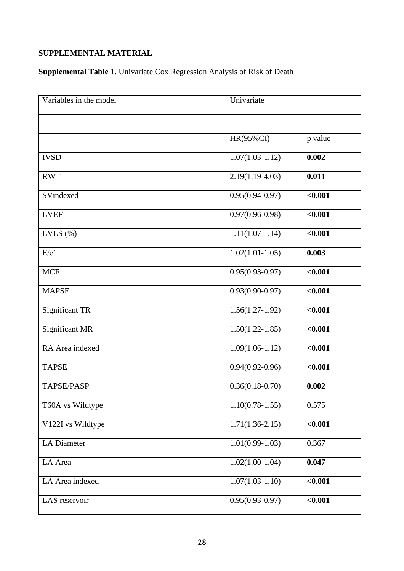# **SUPPLEMENTAL MATERIAL**

**Supplemental Table 1.** Univariate Cox Regression Analysis of Risk of Death

| Variables in the model | Univariate          |         |
|------------------------|---------------------|---------|
|                        |                     |         |
|                        | <b>HR(95%CI)</b>    | p value |
| <b>IVSD</b>            | $1.07(1.03-1.12)$   | 0.002   |
| <b>RWT</b>             | $2.19(1.19-4.03)$   | 0.011   |
| SVindexed              | $0.95(0.94 - 0.97)$ | < 0.001 |
| <b>LVEF</b>            | $0.97(0.96 - 0.98)$ | < 0.001 |
| LVLS $(\%)$            | $1.11(1.07-1.14)$   | < 0.001 |
| E/e'                   | $1.02(1.01-1.05)$   | 0.003   |
| <b>MCF</b>             | $0.95(0.93-0.97)$   | < 0.001 |
| <b>MAPSE</b>           | $0.93(0.90 - 0.97)$ | < 0.001 |
| <b>Significant TR</b>  | $1.56(1.27-1.92)$   | < 0.001 |
| <b>Significant MR</b>  | $1.50(1.22 - 1.85)$ | < 0.001 |
| RA Area indexed        | $1.09(1.06-1.12)$   | < 0.001 |
| <b>TAPSE</b>           | $0.94(0.92 - 0.96)$ | < 0.001 |
| <b>TAPSE/PASP</b>      | $0.36(0.18-0.70)$   | 0.002   |
| T60A vs Wildtype       | $1.10(0.78-1.55)$   | 0.575   |
| V122I vs Wildtype      | $1.71(1.36-2.15)$   | < 0.001 |
| <b>LA Diameter</b>     | $1.01(0.99-1.03)$   | 0.367   |
| LA Area                | $1.02(1.00-1.04)$   | 0.047   |
| LA Area indexed        | $1.07(1.03-1.10)$   | < 0.001 |
| LAS reservoir          | $0.95(0.93-0.97)$   | < 0.001 |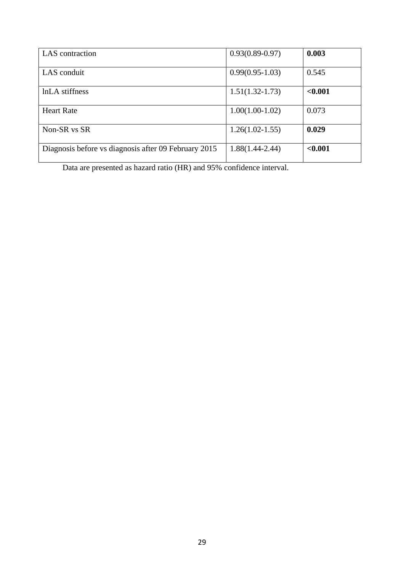| LAS contraction                                      | $0.93(0.89 - 0.97)$ | 0.003   |
|------------------------------------------------------|---------------------|---------|
|                                                      |                     |         |
| LAS conduit                                          | $0.99(0.95-1.03)$   | 0.545   |
|                                                      |                     |         |
| lnLA stiffness                                       | $1.51(1.32 - 1.73)$ | < 0.001 |
|                                                      |                     |         |
| <b>Heart Rate</b>                                    | $1.00(1.00-1.02)$   | 0.073   |
|                                                      |                     |         |
| Non-SR vs SR                                         | $1.26(1.02 - 1.55)$ | 0.029   |
|                                                      |                     |         |
| Diagnosis before vs diagnosis after 09 February 2015 | $1.88(1.44 - 2.44)$ | < 0.001 |
|                                                      |                     |         |

Data are presented as hazard ratio (HR) and 95% confidence interval.